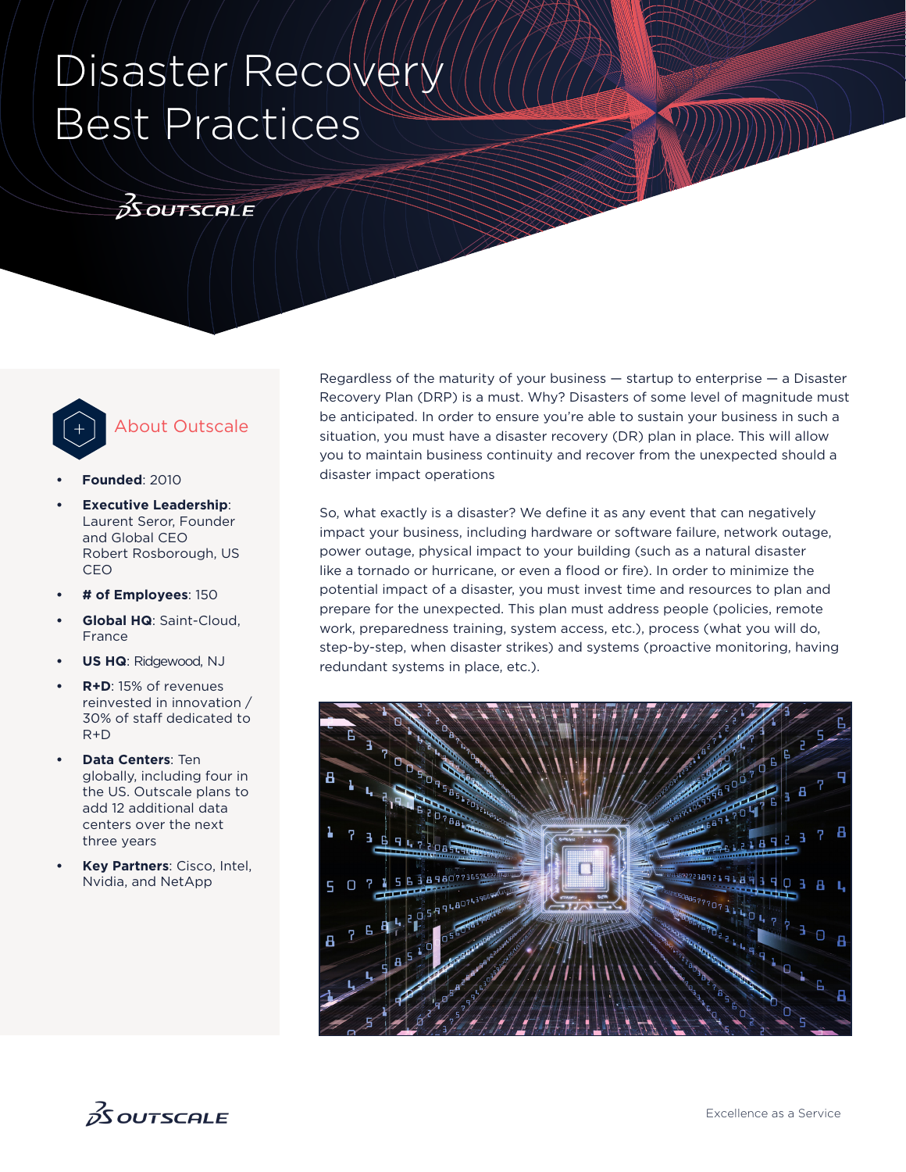# Disaster Recov Best Practices

 $3$ OUTSCALE

About Outscale



## **• Founded**: 2010

- **Executive Leadership:** Laurent Seror, Founder and Global CEO Robert Rosborough, US CEO
- **# of Employees**: 150
- **Global HQ**: Saint-Cloud, France
- **US HQ**: Ridgewood, NJ
- **R+D**: 15% of revenues reinvested in innovation / 30% of staff dedicated to R+D
- **Data Centers**: Ten globally, including four in the US. Outscale plans to add 12 additional data centers over the next three years
- **Key Partners**: Cisco, Intel, Nvidia, and NetApp

Regardless of the maturity of your business — startup to enterprise — a Disaster Recovery Plan (DRP) is a must. Why? Disasters of some level of magnitude must be anticipated. In order to ensure you're able to sustain your business in such a situation, you must have a disaster recovery (DR) plan in place. This will allow you to maintain business continuity and recover from the unexpected should a disaster impact operations

So, what exactly is a disaster? We define it as any event that can negatively impact your business, including hardware or software failure, network outage, power outage, physical impact to your building (such as a natural disaster like a tornado or hurricane, or even a flood or fire). In order to minimize the potential impact of a disaster, you must invest time and resources to plan and prepare for the unexpected. This plan must address people (policies, remote work, preparedness training, system access, etc.), process (what you will do, step-by-step, when disaster strikes) and systems (proactive monitoring, having redundant systems in place, etc.).



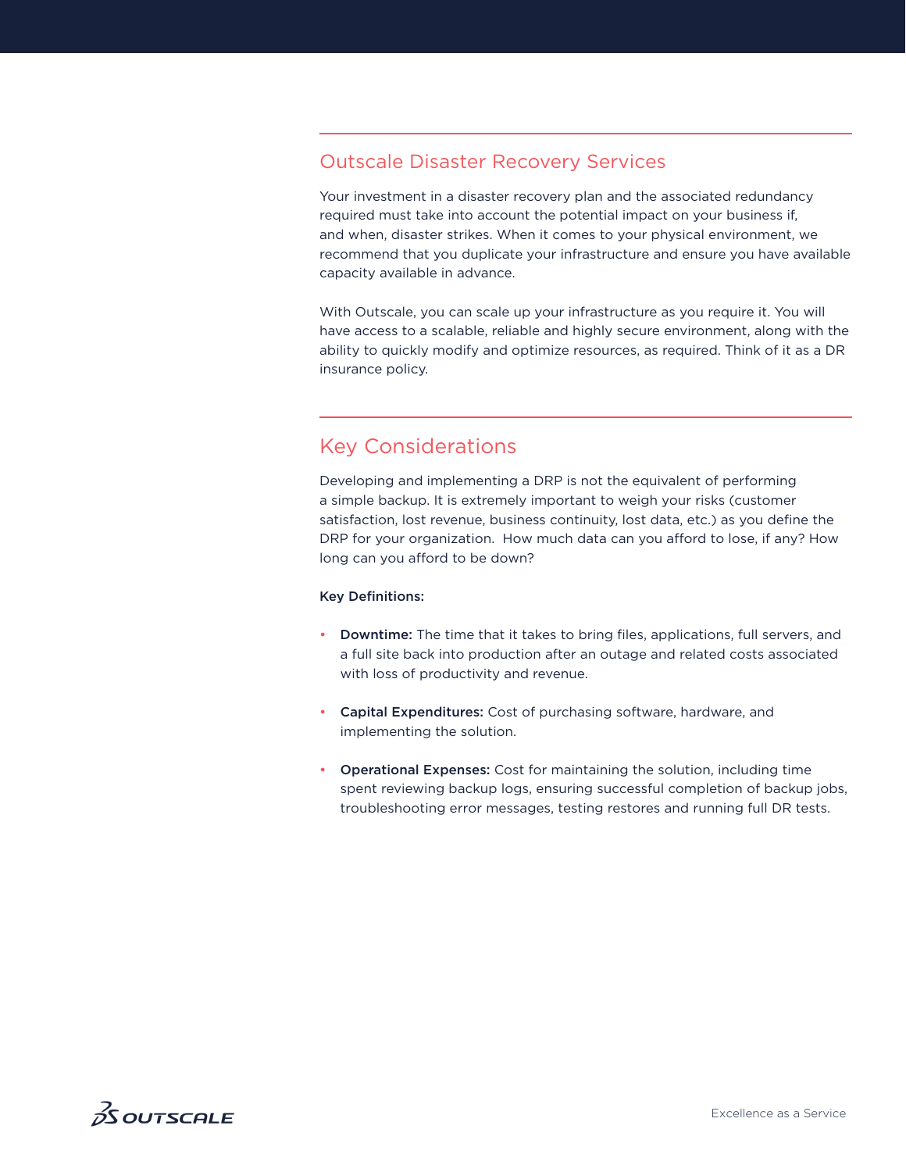# Outscale Disaster Recovery Services

Your investment in a disaster recovery plan and the associated redundancy required must take into account the potential impact on your business if, and when, disaster strikes. When it comes to your physical environment, we recommend that you duplicate your infrastructure and ensure you have available capacity available in advance.

With Outscale, you can scale up your infrastructure as you require it. You will have access to a scalable, reliable and highly secure environment, along with the ability to quickly modify and optimize resources, as required. Think of it as a DR insurance policy.

# Key Considerations

Developing and implementing a DRP is not the equivalent of performing a simple backup. It is extremely important to weigh your risks (customer satisfaction, lost revenue, business continuity, lost data, etc.) as you define the DRP for your organization. How much data can you afford to lose, if any? How long can you afford to be down?

#### Key Definitions:

- Downtime: The time that it takes to bring files, applications, full servers, and a full site back into production after an outage and related costs associated with loss of productivity and revenue.
- Capital Expenditures: Cost of purchasing software, hardware, and implementing the solution.
- Operational Expenses: Cost for maintaining the solution, including time spent reviewing backup logs, ensuring successful completion of backup jobs, troubleshooting error messages, testing restores and running full DR tests.

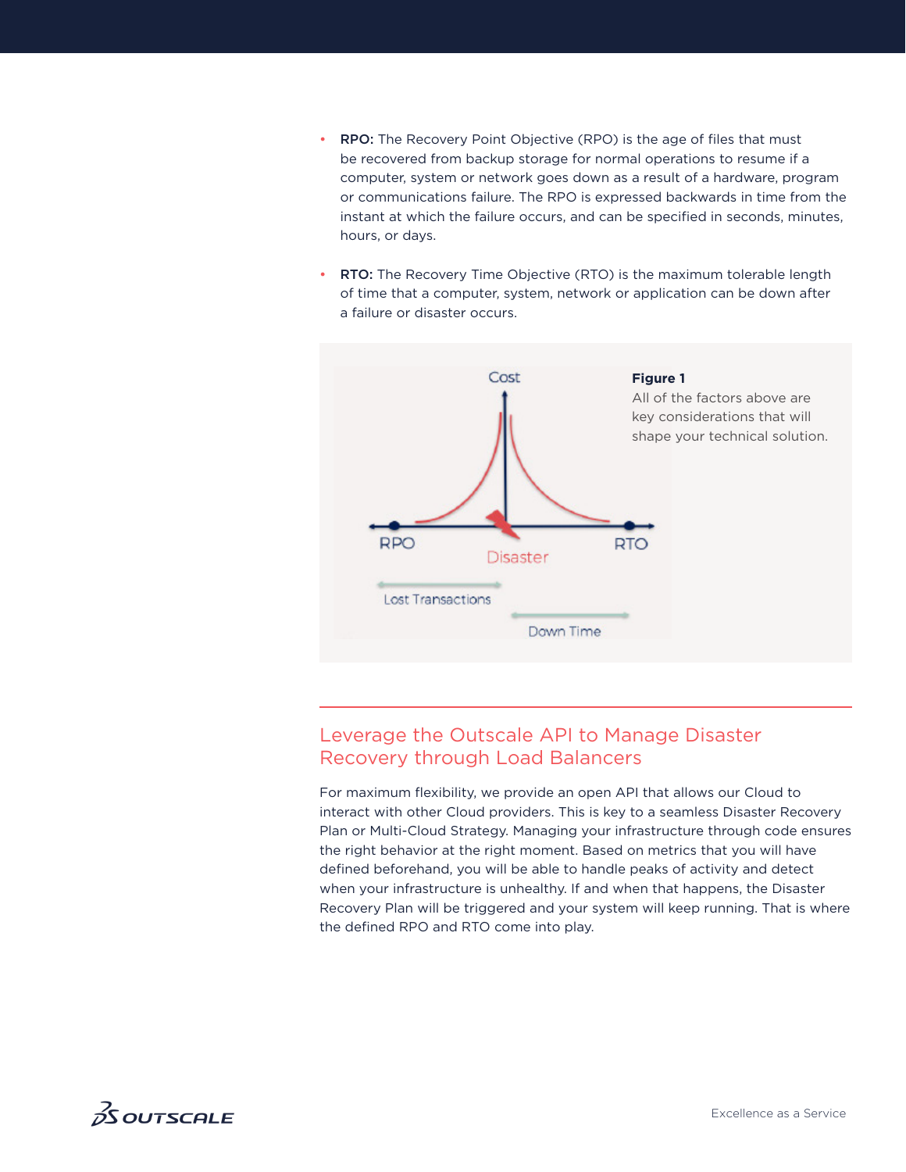- RPO: The Recovery Point Objective (RPO) is the age of files that must be recovered from backup storage for normal operations to resume if a computer, system or network goes down as a result of a hardware, program or communications failure. The RPO is expressed backwards in time from the instant at which the failure occurs, and can be specified in seconds, minutes, hours, or days.
- RTO: The Recovery Time Objective (RTO) is the maximum tolerable length of time that a computer, system, network or application can be down after a failure or disaster occurs.



## Leverage the Outscale API to Manage Disaster Recovery through Load Balancers

For maximum flexibility, we provide an open API that allows our Cloud to interact with other Cloud providers. This is key to a seamless Disaster Recovery Plan or Multi-Cloud Strategy. Managing your infrastructure through code ensures the right behavior at the right moment. Based on metrics that you will have defined beforehand, you will be able to handle peaks of activity and detect when your infrastructure is unhealthy. If and when that happens, the Disaster Recovery Plan will be triggered and your system will keep running. That is where the defined RPO and RTO come into play.